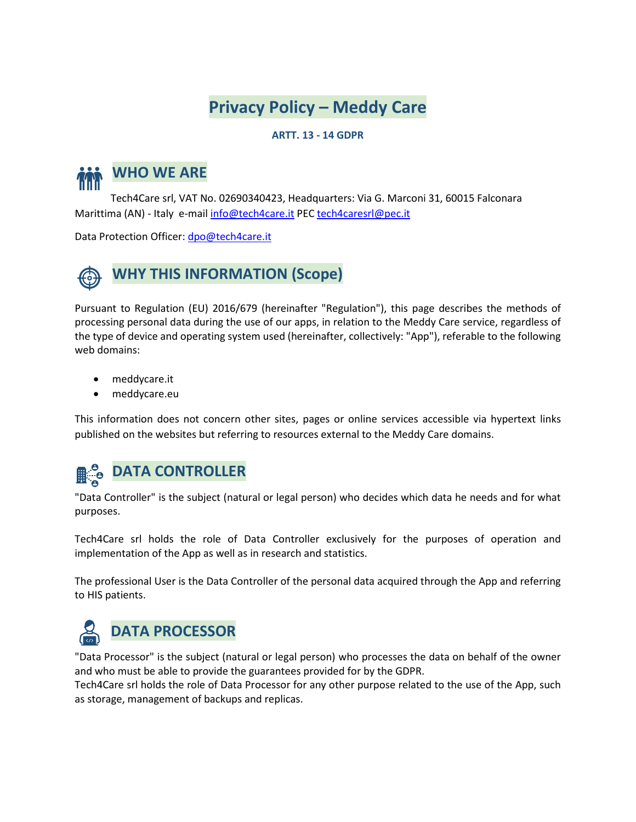### **Privacy Policy – Meddy Care**

#### **ARTT. 13 - 14 GDPR**



Tech4Care srl, VAT No. 02690340423, Headquarters: Via G. Marconi 31, 60015 Falconara Marittima (AN) - Italy e-mai[l info@tech4care.it](mailto:info@tech4care.it) PEC [tech4caresrl@pec.it](mailto:tech4caresrl@pec.it)

Data Protection Officer: dpo@tech4care.it



Pursuant to Regulation (EU) 2016/679 (hereinafter "Regulation"), this page describes the methods of processing personal data during the use of our apps, in relation to the Meddy Care service, regardless of the type of device and operating system used (hereinafter, collectively: "App"), referable to the following web domains:

- meddycare.it
- meddycare.eu

This information does not concern other sites, pages or online services accessible via hypertext links published on the websites but referring to resources external to the Meddy Care domains.

## **DATA CONTROLLER**

"Data Controller" is the subject (natural or legal person) who decides which data he needs and for what purposes.

Tech4Care srl holds the role of Data Controller exclusively for the purposes of operation and implementation of the App as well as in research and statistics.

The professional User is the Data Controller of the personal data acquired through the App and referring to HIS patients.



"Data Processor" is the subject (natural or legal person) who processes the data on behalf of the owner and who must be able to provide the guarantees provided for by the GDPR.

Tech4Care srl holds the role of Data Processor for any other purpose related to the use of the App, such as storage, management of backups and replicas.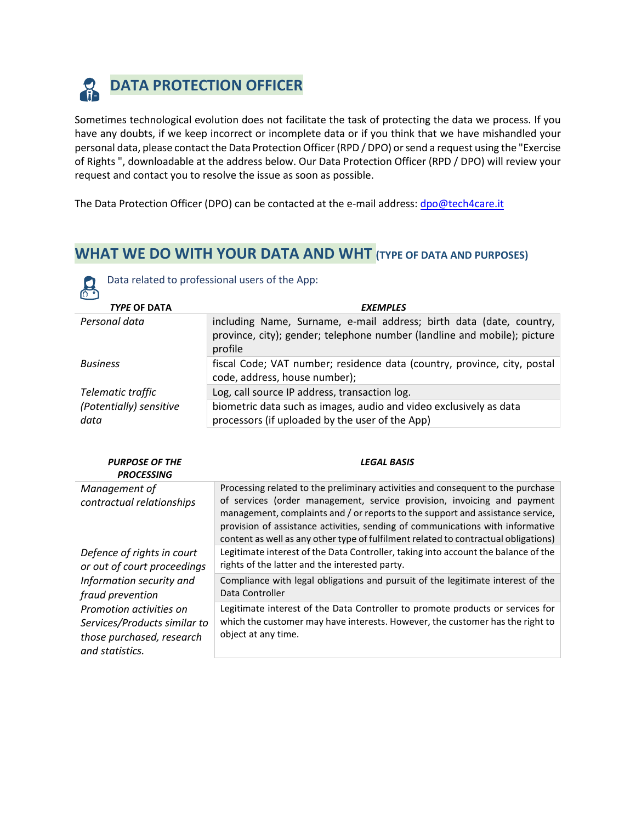

Sometimes technological evolution does not facilitate the task of protecting the data we process. If you have any doubts, if we keep incorrect or incomplete data or if you think that we have mishandled your personal data, please contact the Data Protection Officer (RPD / DPO) or send a request using the "Exercise of Rights ", downloadable at the address below. Our Data Protection Officer (RPD / DPO) will review your request and contact you to resolve the issue as soon as possible.

The Data Protection Officer (DPO) can be contacted at the e-mail address: dpo@tech4care.it

#### **WHAT WE DO WITH YOUR DATA AND WHT (TYPE OF DATA AND PURPOSES)**

| Data related to professional users of the App:<br>$\sigma$ |                                                                                                                                                            |  |
|------------------------------------------------------------|------------------------------------------------------------------------------------------------------------------------------------------------------------|--|
| <b>TYPE OF DATA</b>                                        | <b>EXEMPLES</b>                                                                                                                                            |  |
| Personal data                                              | including Name, Surname, e-mail address; birth data (date, country,<br>province, city); gender; telephone number (landline and mobile); picture<br>profile |  |
| <b>Business</b>                                            | fiscal Code; VAT number; residence data (country, province, city, postal<br>code, address, house number);                                                  |  |
| Telematic traffic                                          | Log, call source IP address, transaction log.                                                                                                              |  |
| (Potentially) sensitive<br>data                            | biometric data such as images, audio and video exclusively as data<br>processors (if uploaded by the user of the App)                                      |  |

| <b>PURPOSE OF THE</b><br><b>PROCESSING</b>                                                                                                                                                                           | <b>LEGAL BASIS</b>                                                                                                                                                                                                                                                                                                                                                                                                    |
|----------------------------------------------------------------------------------------------------------------------------------------------------------------------------------------------------------------------|-----------------------------------------------------------------------------------------------------------------------------------------------------------------------------------------------------------------------------------------------------------------------------------------------------------------------------------------------------------------------------------------------------------------------|
| Management of<br>contractual relationships                                                                                                                                                                           | Processing related to the preliminary activities and consequent to the purchase<br>of services (order management, service provision, invoicing and payment<br>management, complaints and / or reports to the support and assistance service,<br>provision of assistance activities, sending of communications with informative<br>content as well as any other type of fulfilment related to contractual obligations) |
| Defence of rights in court<br>or out of court proceedings<br>Information security and<br>fraud prevention<br>Promotion activities on<br>Services/Products similar to<br>those purchased, research<br>and statistics. | Legitimate interest of the Data Controller, taking into account the balance of the<br>rights of the latter and the interested party.                                                                                                                                                                                                                                                                                  |
|                                                                                                                                                                                                                      | Compliance with legal obligations and pursuit of the legitimate interest of the<br>Data Controller                                                                                                                                                                                                                                                                                                                    |
|                                                                                                                                                                                                                      | Legitimate interest of the Data Controller to promote products or services for<br>which the customer may have interests. However, the customer has the right to<br>object at any time.                                                                                                                                                                                                                                |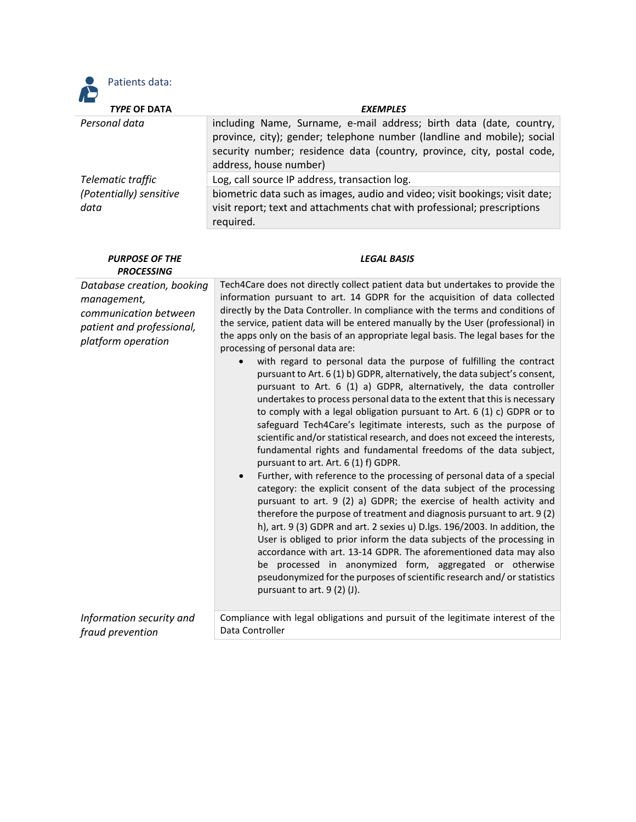

*Telematic traffic* Log, call source IP address, transaction log. *(Potentially) sensitive data*

| <b>PURPOSE OF THE</b><br><b>PROCESSING</b>                                                                            | <b>LEGAL BASIS</b>                                                                                                                                                                                                                                                                                                                                                                                                                                                                                                                                                                                                                                                                                                                                                                                                                                                                                                                                                                                                                                                                                                                                                                                                                                                                                                                                                                                                                                                                                                                                                                                                                                                                                                                                                                                  |
|-----------------------------------------------------------------------------------------------------------------------|-----------------------------------------------------------------------------------------------------------------------------------------------------------------------------------------------------------------------------------------------------------------------------------------------------------------------------------------------------------------------------------------------------------------------------------------------------------------------------------------------------------------------------------------------------------------------------------------------------------------------------------------------------------------------------------------------------------------------------------------------------------------------------------------------------------------------------------------------------------------------------------------------------------------------------------------------------------------------------------------------------------------------------------------------------------------------------------------------------------------------------------------------------------------------------------------------------------------------------------------------------------------------------------------------------------------------------------------------------------------------------------------------------------------------------------------------------------------------------------------------------------------------------------------------------------------------------------------------------------------------------------------------------------------------------------------------------------------------------------------------------------------------------------------------------|
| Database creation, booking<br>management,<br>communication between<br>patient and professional,<br>platform operation | Tech4Care does not directly collect patient data but undertakes to provide the<br>information pursuant to art. 14 GDPR for the acquisition of data collected<br>directly by the Data Controller. In compliance with the terms and conditions of<br>the service, patient data will be entered manually by the User (professional) in<br>the apps only on the basis of an appropriate legal basis. The legal bases for the<br>processing of personal data are:<br>with regard to personal data the purpose of fulfilling the contract<br>pursuant to Art. 6 (1) b) GDPR, alternatively, the data subject's consent,<br>pursuant to Art. 6 (1) a) GDPR, alternatively, the data controller<br>undertakes to process personal data to the extent that this is necessary<br>to comply with a legal obligation pursuant to Art. 6 (1) c) GDPR or to<br>safeguard Tech4Care's legitimate interests, such as the purpose of<br>scientific and/or statistical research, and does not exceed the interests,<br>fundamental rights and fundamental freedoms of the data subject,<br>pursuant to art. Art. 6 (1) f) GDPR.<br>Further, with reference to the processing of personal data of a special<br>$\bullet$<br>category: the explicit consent of the data subject of the processing<br>pursuant to art. 9 (2) a) GDPR; the exercise of health activity and<br>therefore the purpose of treatment and diagnosis pursuant to art. 9(2)<br>h), art. 9 (3) GDPR and art. 2 sexies u) D.lgs. 196/2003. In addition, the<br>User is obliged to prior inform the data subjects of the processing in<br>accordance with art. 13-14 GDPR. The aforementioned data may also<br>be processed in anonymized form, aggregated or otherwise<br>pseudonymized for the purposes of scientific research and/ or statistics |
| Information security and                                                                                              | pursuant to art. $9(2)(J)$ .<br>Compliance with legal obligations and pursuit of the legitimate interest of the                                                                                                                                                                                                                                                                                                                                                                                                                                                                                                                                                                                                                                                                                                                                                                                                                                                                                                                                                                                                                                                                                                                                                                                                                                                                                                                                                                                                                                                                                                                                                                                                                                                                                     |
| fraud prevention                                                                                                      | Data Controller                                                                                                                                                                                                                                                                                                                                                                                                                                                                                                                                                                                                                                                                                                                                                                                                                                                                                                                                                                                                                                                                                                                                                                                                                                                                                                                                                                                                                                                                                                                                                                                                                                                                                                                                                                                     |

address, house number)

required.

province, city); gender; telephone number (landline and mobile); social security number; residence data (country, province, city, postal code,

biometric data such as images, audio and video; visit bookings; visit date; visit report; text and attachments chat with professional; prescriptions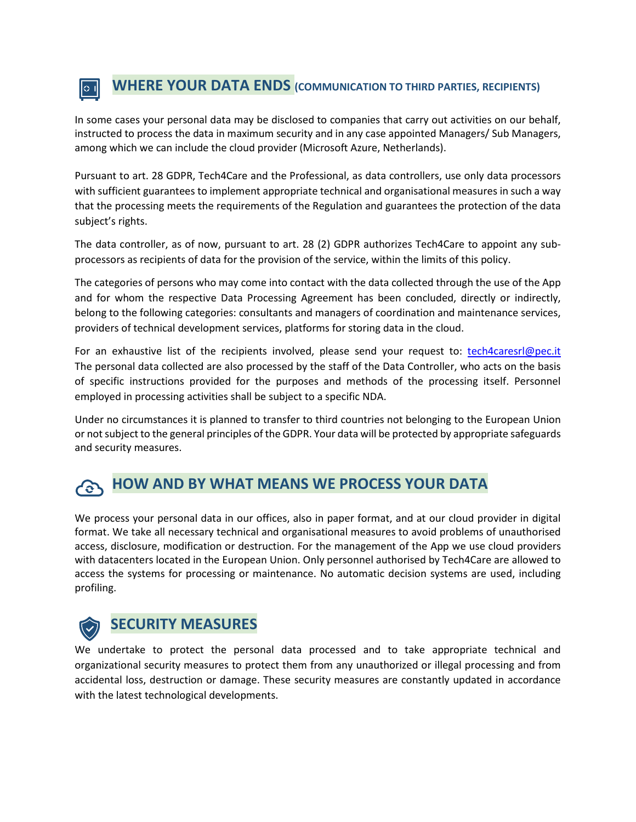#### **WHERE YOUR DATA ENDS (COMMUNICATION TO THIRD PARTIES, RECIPIENTS)**

In some cases your personal data may be disclosed to companies that carry out activities on our behalf, instructed to process the data in maximum security and in any case appointed Managers/ Sub Managers, among which we can include the cloud provider (Microsoft Azure, Netherlands).

Pursuant to art. 28 GDPR, Tech4Care and the Professional, as data controllers, use only data processors with sufficient guarantees to implement appropriate technical and organisational measures in such a way that the processing meets the requirements of the Regulation and guarantees the protection of the data subject's rights.

The data controller, as of now, pursuant to art. 28 (2) GDPR authorizes Tech4Care to appoint any subprocessors as recipients of data for the provision of the service, within the limits of this policy.

The categories of persons who may come into contact with the data collected through the use of the App and for whom the respective Data Processing Agreement has been concluded, directly or indirectly, belong to the following categories: consultants and managers of coordination and maintenance services, providers of technical development services, platforms for storing data in the cloud.

For an exhaustive list of the recipients involved, please send your request to: [tech4caresrl@pec.it](mailto:tech4caresrl@pec.it) The personal data collected are also processed by the staff of the Data Controller, who acts on the basis of specific instructions provided for the purposes and methods of the processing itself. Personnel employed in processing activities shall be subject to a specific NDA.

Under no circumstances it is planned to transfer to third countries not belonging to the European Union or not subject to the general principles of the GDPR. Your data will be protected by appropriate safeguards and security measures.

#### **HOW AND BY WHAT MEANS WE PROCESS YOUR DATA ACT**

We process your personal data in our offices, also in paper format, and at our cloud provider in digital format. We take all necessary technical and organisational measures to avoid problems of unauthorised access, disclosure, modification or destruction. For the management of the App we use cloud providers with datacenters located in the European Union. Only personnel authorised by Tech4Care are allowed to access the systems for processing or maintenance. No automatic decision systems are used, including profiling.



 $|0|$ 

#### **SECURITY MEASURES**

We undertake to protect the personal data processed and to take appropriate technical and organizational security measures to protect them from any unauthorized or illegal processing and from accidental loss, destruction or damage. These security measures are constantly updated in accordance with the latest technological developments.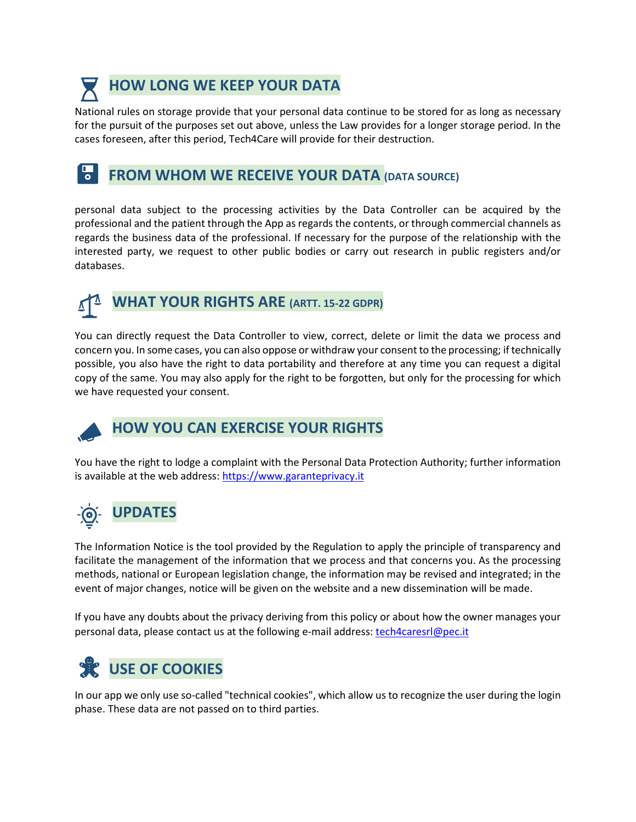

National rules on storage provide that your personal data continue to be stored for as long as necessary for the pursuit of the purposes set out above, unless the Law provides for a longer storage period. In the cases foreseen, after this period, Tech4Care will provide for their destruction.

#### $\overline{\phantom{a}}\phantom{a}$ **FROM WHOM WE RECEIVE YOUR DATA (DATA SOURCE)**

personal data subject to the processing activities by the Data Controller can be acquired by the professional and the patient through the App as regards the contents, or through commercial channels as regards the business data of the professional. If necessary for the purpose of the relationship with the interested party, we request to other public bodies or carry out research in public registers and/or databases.



#### **WHAT YOUR RIGHTS ARE (ARTT. 15-22 GDPR)**

You can directly request the Data Controller to view, correct, delete or limit the data we process and concern you. In some cases, you can also oppose or withdraw your consent to the processing; if technically possible, you also have the right to data portability and therefore at any time you can request a digital copy of the same. You may also apply for the right to be forgotten, but only for the processing for which we have requested your consent.

### **HOW YOU CAN EXERCISE YOUR RIGHTS**

You have the right to lodge a complaint with the Personal Data Protection Authority; further information is available at the web address: [https://www.garanteprivacy.it](https://www.garanteprivacy.it/) 

# **UPDATES**

The Information Notice is the tool provided by the Regulation to apply the principle of transparency and facilitate the management of the information that we process and that concerns you. As the processing methods, national or European legislation change, the information may be revised and integrated; in the event of major changes, notice will be given on the website and a new dissemination will be made.

If you have any doubts about the privacy deriving from this policy or about how the owner manages your personal data, please contact us at the following e-mail address[: tech4caresrl@pec.it](mailto:tech4caresrl@pec.it)



In our app we only use so-called "technical cookies", which allow us to recognize the user during the login phase. These data are not passed on to third parties.